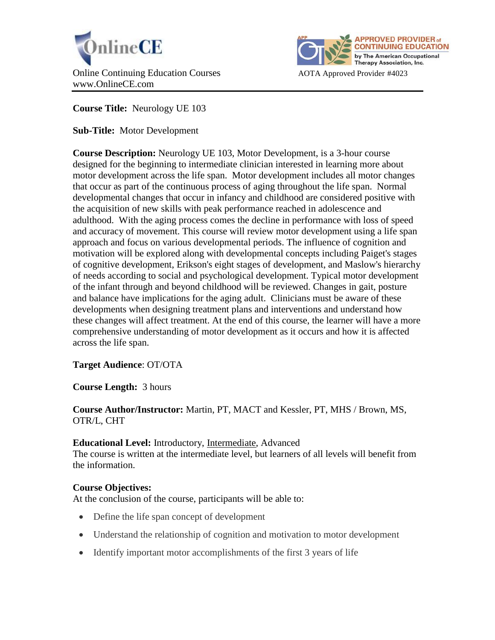



**Course Title:** Neurology UE 103

**Sub-Title:** Motor Development

**Course Description:** Neurology UE 103, Motor Development, is a 3-hour course designed for the beginning to intermediate clinician interested in learning more about motor development across the life span. Motor development includes all motor changes that occur as part of the continuous process of aging throughout the life span. Normal developmental changes that occur in infancy and childhood are considered positive with the acquisition of new skills with peak performance reached in adolescence and adulthood. With the aging process comes the decline in performance with loss of speed and accuracy of movement. This course will review motor development using a life span approach and focus on various developmental periods. The influence of cognition and motivation will be explored along with developmental concepts including Paiget's stages of cognitive development, Erikson's eight stages of development, and Maslow's hierarchy of needs according to social and psychological development. Typical motor development of the infant through and beyond childhood will be reviewed. Changes in gait, posture and balance have implications for the aging adult. Clinicians must be aware of these developments when designing treatment plans and interventions and understand how these changes will affect treatment. At the end of this course, the learner will have a more comprehensive understanding of motor development as it occurs and how it is affected across the life span.

**Target Audience**: OT/OTA

**Course Length:** 3 hours

**Course Author/Instructor:** Martin, PT, MACT and Kessler, PT, MHS / Brown, MS, OTR/L, CHT

### **Educational Level:** Introductory, Intermediate, Advanced

The course is written at the intermediate level, but learners of all levels will benefit from the information.

# **Course Objectives:**

At the conclusion of the course, participants will be able to:

- Define the life span concept of development
- Understand the relationship of cognition and motivation to motor development
- Identify important motor accomplishments of the first 3 years of life